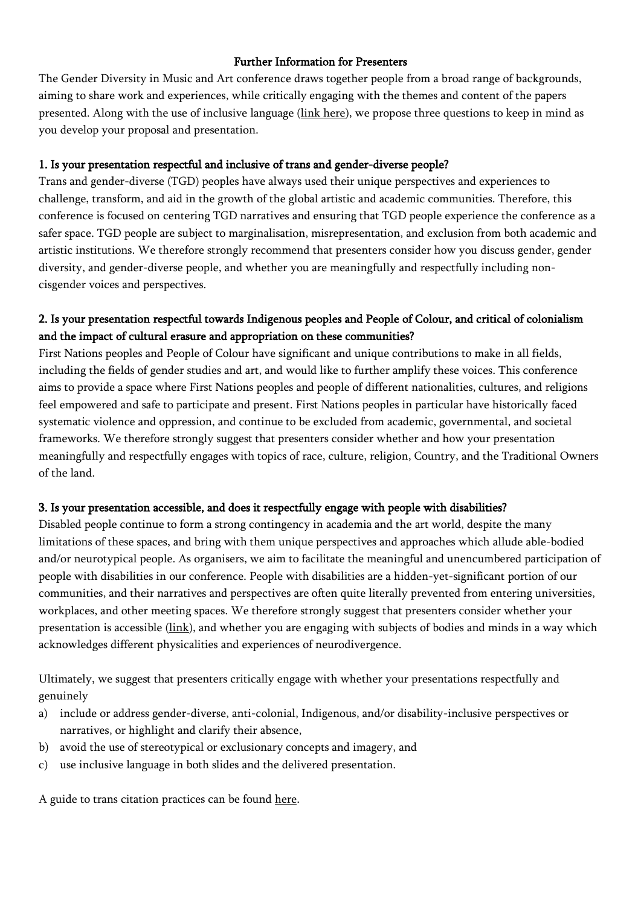## Further Information for Presenters

The Gender Diversity in Music and Art conference draws together people from a broad range of backgrounds, aiming to share work and experiences, while critically engaging with the themes and content of the papers presented. Along with the use of inclusive language (link [here\)](http://www.flinders.edu.au/equal-opportunity/tools_resources/publications/inclusive_language.cfm#genlan), we propose three questions to keep in mind as you develop your proposal and presentation.

## 1. Is your presentation respectful and inclusive of trans and gender-diverse people?

Trans and gender-diverse (TGD) peoples have always used their unique perspectives and experiences to challenge, transform, and aid in the growth of the global artistic and academic communities. Therefore, this conference is focused on centering TGD narratives and ensuring that TGD people experience the conference as a safer space. TGD people are subject to marginalisation, misrepresentation, and exclusion from both academic and artistic institutions. We therefore strongly recommend that presenters consider how you discuss gender, gender diversity, and gender-diverse people, and whether you are meaningfully and respectfully including noncisgender voices and perspectives.

## 2. Is your presentation respectful towards Indigenous peoples and People of Colour, and critical of colonialism and the impact of cultural erasure and appropriation on these communities?

First Nations peoples and People of Colour have significant and unique contributions to make in all fields, including the fields of gender studies and art, and would like to further amplify these voices. This conference aims to provide a space where First Nations peoples and people of different nationalities, cultures, and religions feel empowered and safe to participate and present. First Nations peoples in particular have historically faced systematic violence and oppression, and continue to be excluded from academic, governmental, and societal frameworks. We therefore strongly suggest that presenters consider whether and how your presentation meaningfully and respectfully engages with topics of race, culture, religion, Country, and the Traditional Owners of the land.

## 3. Is your presentation accessible, and does it respectfully engage with people with disabilities?

Disabled people continue to form a strong contingency in academia and the art world, despite the many limitations of these spaces, and bring with them unique perspectives and approaches which allude able-bodied and/or neurotypical people. As organisers, we aim to facilitate the meaningful and unencumbered participation of people with disabilities in our conference. People with disabilities are a hidden-yet-significant portion of our communities, and their narratives and perspectives are often quite literally prevented from entering universities, workplaces, and other meeting spaces. We therefore strongly suggest that presenters consider whether your presentation is accessible [\(link\)](https://support.office.com/en-us/article/make-your-powerpoint-presentations-accessible-to-people-with-disabilities-6f7772b2-2f33-4bd2-8ca7-dae3b2b3ef25), and whether you are engaging with subjects of bodies and minds in a way which acknowledges different physicalities and experiences of neurodivergence.

Ultimately, we suggest that presenters critically engage with whether your presentations respectfully and genuinely

- a) include or address gender-diverse, anti-colonial, Indigenous, and/or disability-inclusive perspectives or narratives, or highlight and clarify their absence,
- b) avoid the use of stereotypical or exclusionary concepts and imagery, and
- c) use inclusive language in both slides and the delivered presentation.

A guide to trans citation practices can be found [here.](Suggested%20additional%20trans%20citation%20guide%20link:%20https:/medium.com/@MxComan/trans-citation-practices-a-quick-and-dirty-guideline-9f4168117115?fbclid=IwAR3bzhBDIslTkWvOMFg9vF5KwS_Mrw34hh3PfgnkvlLiI_MS8mZM3pkX8lg)